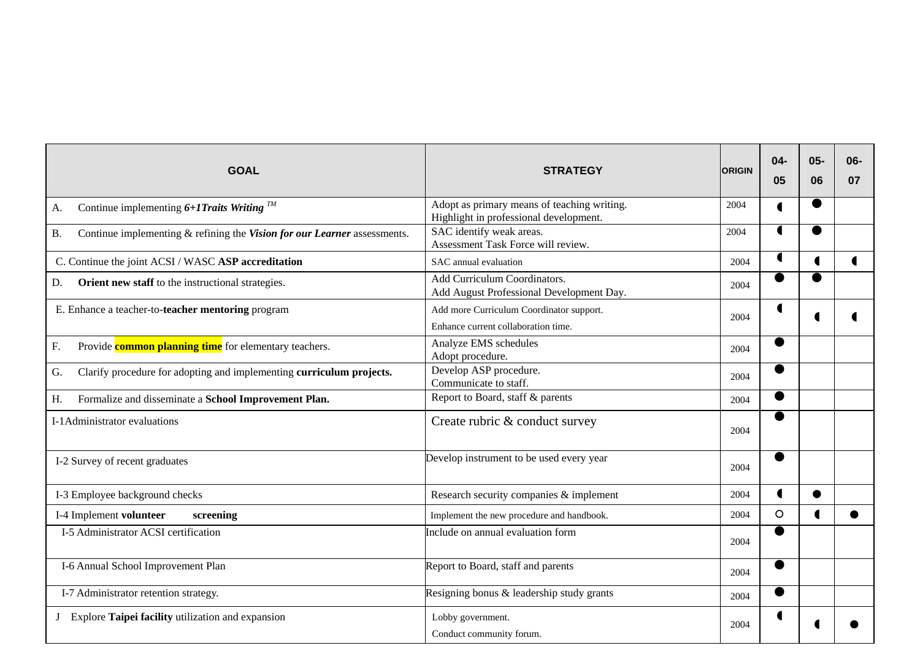| <b>GOAL</b>                                                                           | <b>STRATEGY</b>                                                                       | <b>ORIGIN</b> | $04-$<br>05    | $05 -$<br>06   | 06-<br>07 |
|---------------------------------------------------------------------------------------|---------------------------------------------------------------------------------------|---------------|----------------|----------------|-----------|
| Continue implementing $6+1$ Traits Writing $^{TM}$<br>А.                              | Adopt as primary means of teaching writing.<br>Highlight in professional development. | 2004          | $\blacksquare$ | ●              |           |
| Continue implementing & refining the Vision for our Learner assessments.<br><b>B.</b> | SAC identify weak areas.<br>Assessment Task Force will review.                        | 2004          | $\blacksquare$ |                |           |
| C. Continue the joint ACSI / WASC ASP accreditation                                   | SAC annual evaluation                                                                 | 2004          | $\blacksquare$ | $\blacksquare$ |           |
| Orient new staff to the instructional strategies.<br>D.                               | Add Curriculum Coordinators.<br>Add August Professional Development Day.              | 2004          |                |                |           |
| E. Enhance a teacher-to-teacher mentoring program                                     | Add more Curriculum Coordinator support.<br>Enhance current collaboration time.       | 2004          | C              |                |           |
| F.<br>Provide <b>common planning time</b> for elementary teachers.                    | Analyze EMS schedules<br>Adopt procedure.                                             | 2004          |                |                |           |
| G.<br>Clarify procedure for adopting and implementing curriculum projects.            | Develop ASP procedure.<br>Communicate to staff.                                       | 2004          |                |                |           |
| Formalize and disseminate a School Improvement Plan.<br>H.                            | Report to Board, staff & parents                                                      | 2004          | $\bullet$      |                |           |
| I-1 Administrator evaluations                                                         | Create rubric & conduct survey                                                        | 2004          |                |                |           |
| I-2 Survey of recent graduates                                                        | Develop instrument to be used every year                                              | 2004          |                |                |           |
| I-3 Employee background checks                                                        | Research security companies & implement                                               | 2004          | $\blacksquare$ |                |           |
| I-4 Implement volunteer<br>screening                                                  | Implement the new procedure and handbook.                                             | 2004          | $\circ$        | $\blacksquare$ |           |
| I-5 Administrator ACSI certification                                                  | Include on annual evaluation form                                                     | 2004          | ●              |                |           |
| I-6 Annual School Improvement Plan                                                    | Report to Board, staff and parents                                                    | 2004          | $\bullet$      |                |           |
| I-7 Administrator retention strategy.                                                 | Resigning bonus & leadership study grants                                             | 2004          | $\bullet$      |                |           |
| Explore Taipei facility utilization and expansion                                     | Lobby government.<br>Conduct community forum.                                         | 2004          |                |                |           |